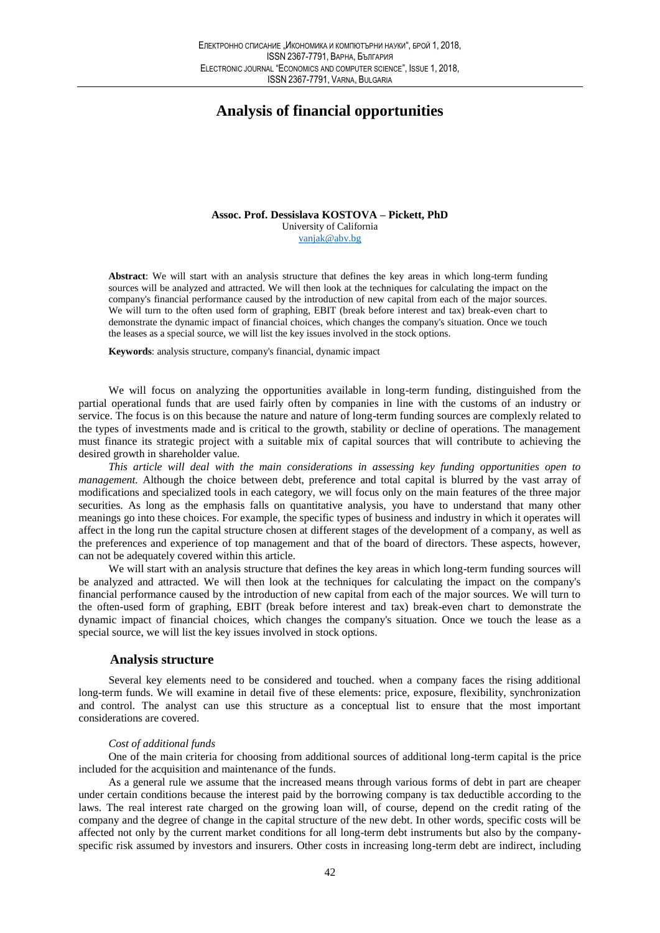# **Analysis of financial opportunities**

Assoc. Prof. Dessislava KOSTOVA - Pickett. PhD University of California vanjak@abv.bg

Abstract: We will start with an analysis structure that defines the key areas in which long-term funding sources will be analyzed and attracted. We will then look at the techniques for calculating the impact on the company's financial performance caused by the introduction of new capital from each of the major sources. We will turn to the often used form of graphing, EBIT (break before interest and tax) break-even chart to demonstrate the dynamic impact of financial choices, which changes the company's situation. Once we touch the leases as a special source, we will list the key issues involved in the stock options.

Keywords: analysis structure, company's financial, dynamic impact

We will focus on analyzing the opportunities available in long-term funding, distinguished from the partial operational funds that are used fairly often by companies in line with the customs of an industry or service. The focus is on this because the nature and nature of long-term funding sources are complexly related to the types of investments made and is critical to the growth, stability or decline of operations. The management must finance its strategic project with a suitable mix of capital sources that will contribute to achieving the desired growth in shareholder value.

This article will deal with the main considerations in assessing key funding opportunities open to management. Although the choice between debt, preference and total capital is blurred by the vast array of modifications and specialized tools in each category, we will focus only on the main features of the three major securities. As long as the emphasis falls on quantitative analysis, you have to understand that many other meanings go into these choices. For example, the specific types of business and industry in which it operates will affect in the long run the capital structure chosen at different stages of the development of a company, as well as the preferences and experience of top management and that of the board of directors. These aspects, however, can not be adequately covered within this article.

We will start with an analysis structure that defines the key areas in which long-term funding sources will be analyzed and attracted. We will then look at the techniques for calculating the impact on the company's financial performance caused by the introduction of new capital from each of the major sources. We will turn to the often-used form of graphing, EBIT (break before interest and tax) break-even chart to demonstrate the dynamic impact of financial choices, which changes the company's situation. Once we touch the lease as a special source, we will list the key issues involved in stock options.

## **Analysis structure**

Several key elements need to be considered and touched. when a company faces the rising additional long-term funds. We will examine in detail five of these elements: price, exposure, flexibility, synchronization and control. The analyst can use this structure as a conceptual list to ensure that the most important considerations are covered.

### Cost of additional funds

One of the main criteria for choosing from additional sources of additional long-term capital is the price included for the acquisition and maintenance of the funds.

As a general rule we assume that the increased means through various forms of debt in part are cheaper under certain conditions because the interest paid by the borrowing company is tax deductible according to the laws. The real interest rate charged on the growing loan will, of course, depend on the credit rating of the company and the degree of change in the capital structure of the new debt. In other words, specific costs will be affected not only by the current market conditions for all long-term debt instruments but also by the companyspecific risk assumed by investors and insurers. Other costs in increasing long-term debt are indirect, including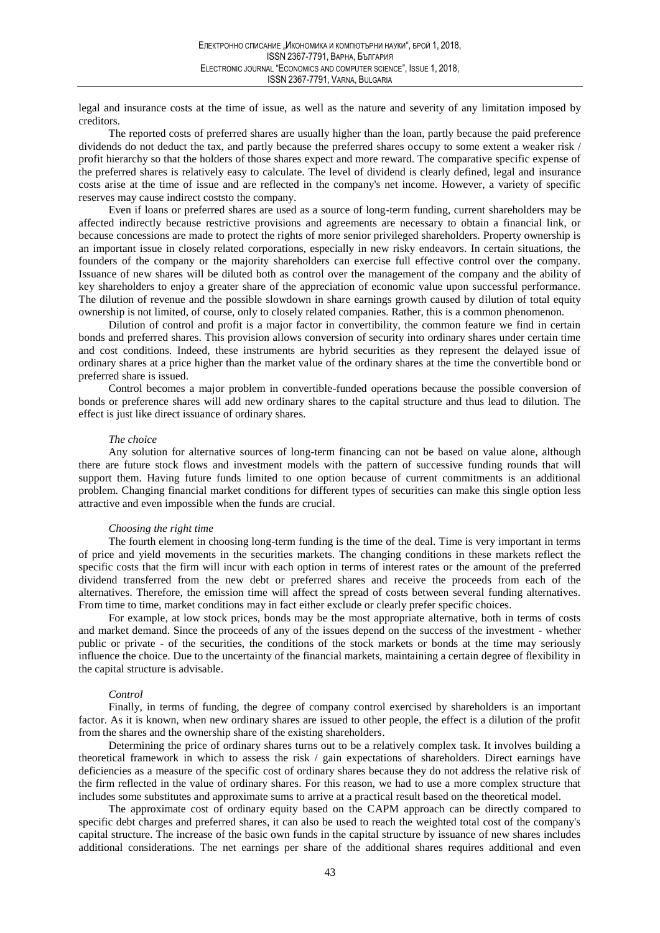legal and insurance costs at the time of issue, as well as the nature and severity of any limitation imposed by creditors.

The reported costs of preferred shares are usually higher than the loan, partly because the paid preference dividends do not deduct the tax, and partly because the preferred shares occupy to some extent a weaker risk / profit hierarchy so that the holders of those shares expect and more reward. The comparative specific expense of the preferred shares is relatively easy to calculate. The level of dividend is clearly defined, legal and insurance costs arise at the time of issue and are reflected in the company's net income. However, a variety of specific reserves may cause indirect costs to the company.

Even if loans or preferred shares are used as a source of long-term funding, current shareholders may be affected indirectly because restrictive provisions and agreements are necessary to obtain a financial link, or because concessions are made to protect the rights of more senior privileged shareholders. Property ownership is an important issue in closely related corporations, especially in new risky endeavors. In certain situations, the founders of the company or the majority shareholders can exercise full effective control over the company. Issuance of new shares will be diluted both as control over the management of the company and the ability of key shareholders to enjoy a greater share of the appreciation of economic value upon successful performance. The dilution of revenue and the possible slowdown in share earnings growth caused by dilution of total equity ownership is not limited, of course, only to closely related companies. Rather, this is a common phenomenon.

Dilution of control and profit is a major factor in convertibility, the common feature we find in certain bonds and preferred shares. This provision allows conversion of security into ordinary shares under certain time and cost conditions. Indeed, these instruments are hybrid securities as they represent the delayed issue of ordinary shares at a price higher than the market value of the ordinary shares at the time the convertible bond or preferred share is issued.

Control becomes a major problem in convertible-funded operations because the possible conversion of bonds or preference shares will add new ordinary shares to the capital structure and thus lead to dilution. The effect is just like direct issuance of ordinary shares.

#### The choice

Any solution for alternative sources of long-term financing can not be based on value alone, although there are future stock flows and investment models with the pattern of successive funding rounds that will support them. Having future funds limited to one option because of current commitments is an additional problem. Changing financial market conditions for different types of securities can make this single option less attractive and even impossible when the funds are crucial.

### Choosing the right time

The fourth element in choosing long-term funding is the time of the deal. Time is very important in terms of price and yield movements in the securities markets. The changing conditions in these markets reflect the specific costs that the firm will incur with each option in terms of interest rates or the amount of the preferred dividend transferred from the new debt or preferred shares and receive the proceeds from each of the alternatives. Therefore, the emission time will affect the spread of costs between several funding alternatives. From time to time, market conditions may in fact either exclude or clearly prefer specific choices.

For example, at low stock prices, bonds may be the most appropriate alternative, both in terms of costs and market demand. Since the proceeds of any of the issues depend on the success of the investment - whether public or private - of the securities, the conditions of the stock markets or bonds at the time may seriously influence the choice. Due to the uncertainty of the financial markets, maintaining a certain degree of flexibility in the capital structure is advisable.

#### Control

Finally, in terms of funding, the degree of company control exercised by shareholders is an important factor. As it is known, when new ordinary shares are issued to other people, the effect is a dilution of the profit from the shares and the ownership share of the existing shareholders.

Determining the price of ordinary shares turns out to be a relatively complex task. It involves building a theoretical framework in which to assess the risk / gain expectations of shareholders. Direct earnings have deficiencies as a measure of the specific cost of ordinary shares because they do not address the relative risk of the firm reflected in the value of ordinary shares. For this reason, we had to use a more complex structure that includes some substitutes and approximate sums to arrive at a practical result based on the theoretical model.

The approximate cost of ordinary equity based on the CAPM approach can be directly compared to specific debt charges and preferred shares, it can also be used to reach the weighted total cost of the company's capital structure. The increase of the basic own funds in the capital structure by issuance of new shares includes additional considerations. The net earnings per share of the additional shares requires additional and even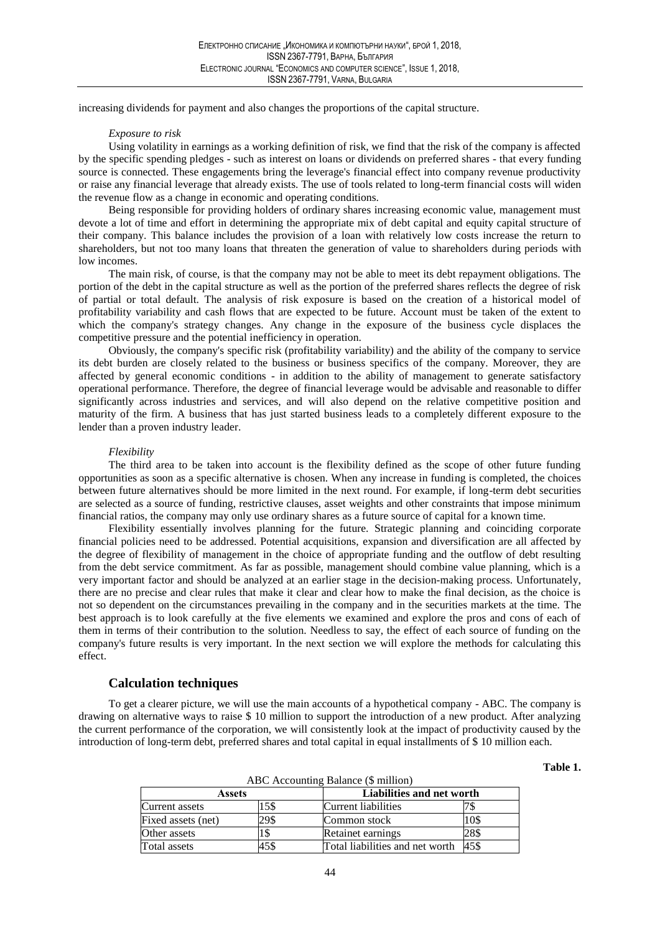increasing dividends for payment and also changes the proportions of the capital structure.

### Exposure to risk

Using volatility in earnings as a working definition of risk, we find that the risk of the company is affected by the specific spending pledges - such as interest on loans or dividends on preferred shares - that every funding source is connected. These engagements bring the leverage's financial effect into company revenue productivity or raise any financial leverage that already exists. The use of tools related to long-term financial costs will widen the revenue flow as a change in economic and operating conditions.

Being responsible for providing holders of ordinary shares increasing economic value, management must devote a lot of time and effort in determining the appropriate mix of debt capital and equity capital structure of their company. This balance includes the provision of a loan with relatively low costs increase the return to shareholders, but not too many loans that threaten the generation of value to shareholders during periods with low incomes.

The main risk, of course, is that the company may not be able to meet its debt repayment obligations. The portion of the debt in the capital structure as well as the portion of the preferred shares reflects the degree of risk of partial or total default. The analysis of risk exposure is based on the creation of a historical model of profitability variability and cash flows that are expected to be future. Account must be taken of the extent to which the company's strategy changes. Any change in the exposure of the business cycle displaces the competitive pressure and the potential inefficiency in operation.

Obviously, the company's specific risk (profitability variability) and the ability of the company to service its debt burden are closely related to the business or business specifics of the company. Moreover, they are affected by general economic conditions - in addition to the ability of management to generate satisfactory operational performance. Therefore, the degree of financial leverage would be advisable and reasonable to differ significantly across industries and services, and will also depend on the relative competitive position and maturity of the firm. A business that has just started business leads to a completely different exposure to the lender than a proven industry leader.

## Flexibility

The third area to be taken into account is the flexibility defined as the scope of other future funding opportunities as soon as a specific alternative is chosen. When any increase in funding is completed, the choices between future alternatives should be more limited in the next round. For example, if long-term debt securities are selected as a source of funding, restrictive clauses, asset weights and other constraints that impose minimum financial ratios, the company may only use ordinary shares as a future source of capital for a known time.

Flexibility essentially involves planning for the future. Strategic planning and coinciding corporate financial policies need to be addressed. Potential acquisitions, expansion and diversification are all affected by the degree of flexibility of management in the choice of appropriate funding and the outflow of debt resulting from the debt service commitment. As far as possible, management should combine value planning, which is a very important factor and should be analyzed at an earlier stage in the decision-making process. Unfortunately, there are no precise and clear rules that make it clear and clear how to make the final decision, as the choice is not so dependent on the circumstances prevailing in the company and in the securities markets at the time. The best approach is to look carefully at the five elements we examined and explore the pros and cons of each of them in terms of their contribution to the solution. Needless to say, the effect of each source of funding on the company's future results is very important. In the next section we will explore the methods for calculating this effect.

## **Calculation techniques**

To get a clearer picture, we will use the main accounts of a hypothetical company - ABC. The company is drawing on alternative ways to raise \$ 10 million to support the introduction of a new product. After analyzing the current performance of the corporation, we will consistently look at the impact of productivity caused by the introduction of long-term debt, preferred shares and total capital in equal installments of \$10 million each.

Table 1.

| Assets             |      |                                 | Liabilities and net worth |  |  |
|--------------------|------|---------------------------------|---------------------------|--|--|
| Current assets     | 5\$  | Current liabilities             |                           |  |  |
| Fixed assets (net) | 29\$ | Common stock                    | 10\$                      |  |  |
| Other assets       |      | Retainet earnings               | 28\$                      |  |  |
| Total assets       | 45\$ | Total liabilities and net worth | 45\$                      |  |  |

 $ABC$  Accounting Delence  $(\mathbb{C}^n)^{1/2}$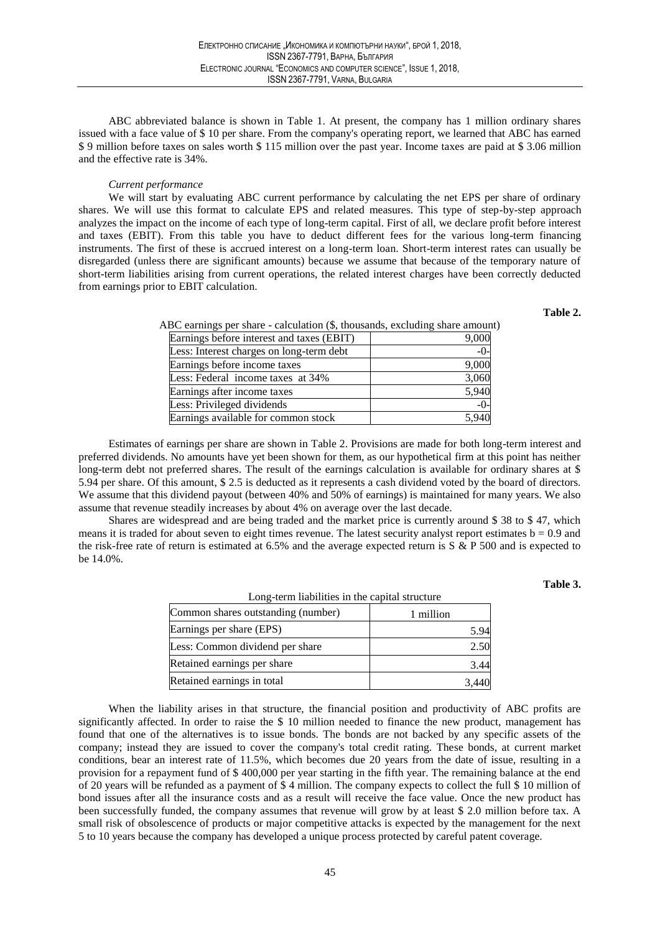ABC abbreviated balance is shown in Table 1. At present, the company has 1 million ordinary shares issued with a face value of \$10 per share. From the company's operating report, we learned that ABC has earned \$9 million before taxes on sales worth \$115 million over the past year. Income taxes are paid at \$3.06 million and the effective rate is 34%.

### Current performance

We will start by evaluating ABC current performance by calculating the net EPS per share of ordinary shares. We will use this format to calculate EPS and related measures. This type of step-by-step approach analyzes the impact on the income of each type of long-term capital. First of all, we declare profit before interest and taxes (EBIT). From this table you have to deduct different fees for the various long-term financing instruments. The first of these is accrued interest on a long-term loan. Short-term interest rates can usually be disregarded (unless there are significant amounts) because we assume that because of the temporary nature of short-term liabilities arising from current operations, the related interest charges have been correctly deducted from earnings prior to EBIT calculation.

## Table 2

| ABC earnings per share - calculation (\$, thousands, excluding share amount) |  |  |  |  |
|------------------------------------------------------------------------------|--|--|--|--|
|------------------------------------------------------------------------------|--|--|--|--|

| Earnings before interest and taxes (EBIT) | 9,000 |
|-------------------------------------------|-------|
| Less: Interest charges on long-term debt  | $-0-$ |
| Earnings before income taxes              | 9,000 |
| Less: Federal income taxes at 34%         | 3,060 |
| Earnings after income taxes               | 5,940 |
| Less: Privileged dividends                | $-0-$ |
| Earnings available for common stock       | 5,940 |

Estimates of earnings per share are shown in Table 2. Provisions are made for both long-term interest and preferred dividends. No amounts have yet been shown for them, as our hypothetical firm at this point has neither long-term debt not preferred shares. The result of the earnings calculation is available for ordinary shares at \$ 5.94 per share. Of this amount, \$2.5 is deducted as it represents a cash dividend voted by the board of directors. We assume that this dividend payout (between 40% and 50% of earnings) is maintained for many years. We also assume that revenue steadily increases by about 4% on average over the last decade.

Shares are widespread and are being traded and the market price is currently around \$38 to \$47, which means it is traded for about seven to eight times revenue. The latest security analyst report estimates  $b = 0.9$  and the risk-free rate of return is estimated at 6.5% and the average expected return is  $S \& P 500$  and is expected to be 14.0%.

### Table 3.

| Long-term habilities in the capital structure |           |  |  |  |
|-----------------------------------------------|-----------|--|--|--|
| Common shares outstanding (number)            | 1 million |  |  |  |
| Earnings per share (EPS)                      | 5.94      |  |  |  |
| Less: Common dividend per share               | 2.50      |  |  |  |
| Retained earnings per share                   | 3.44      |  |  |  |
| Retained earnings in total                    |           |  |  |  |

I ang tarm lighilities in the conital structure

When the liability arises in that structure, the financial position and productivity of ABC profits are significantly affected. In order to raise the \$10 million needed to finance the new product, management has found that one of the alternatives is to issue bonds. The bonds are not backed by any specific assets of the company; instead they are issued to cover the company's total credit rating. These bonds, at current market conditions, bear an interest rate of 11.5%, which becomes due 20 years from the date of issue, resulting in a provision for a repayment fund of \$400,000 per year starting in the fifth year. The remaining balance at the end of 20 years will be refunded as a payment of  $$4$  million. The company expects to collect the full  $$10$  million of bond issues after all the insurance costs and as a result will receive the face value. Once the new product has been successfully funded, the company assumes that revenue will grow by at least \$2.0 million before tax. A small risk of obsolescence of products or major competitive attacks is expected by the management for the next 5 to 10 years because the company has developed a unique process protected by careful patent coverage.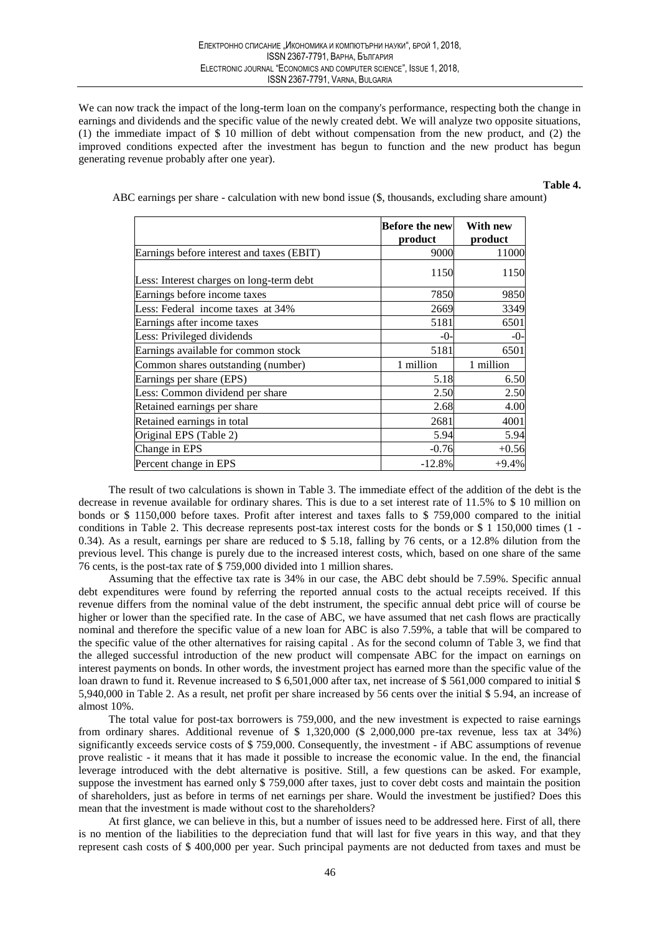We can now track the impact of the long-term loan on the company's performance, respecting both the change in earnings and dividends and the specific value of the newly created debt. We will analyze two opposite situations, (1) the immediate impact of \$ 10 million of debt without compensation from the new product, and (2) the improved conditions expected after the investment has begun to function and the new product has begun generating revenue probably after one year).

## Table 4.

ABC earnings per share - calculation with new bond issue (\$, thousands, excluding share amount)

|                                           | <b>Before the newl</b><br>product | With new<br>product |
|-------------------------------------------|-----------------------------------|---------------------|
| Earnings before interest and taxes (EBIT) | 9000                              | 11000               |
| Less: Interest charges on long-term debt  | 1150                              | 1150                |
| Earnings before income taxes              | 7850                              | 9850                |
| Less: Federal income taxes at 34%         | 2669                              | 3349                |
| Earnings after income taxes               | 5181                              | 6501                |
| Less: Privileged dividends                | $-0-$                             | $-0-$               |
| Earnings available for common stock       | 5181                              | 6501                |
| Common shares outstanding (number)        | 1 million                         | 1 million           |
| Earnings per share (EPS)                  | 5.18                              | 6.50                |
| Less: Common dividend per share           | 2.50                              | 2.50                |
| Retained earnings per share               | 2.68                              | 4.00                |
| Retained earnings in total                | 2681                              | 4001                |
| Original EPS (Table 2)                    | 5.94                              | 5.94                |
| Change in EPS                             | $-0.76$                           | $+0.56$             |
| Percent change in EPS                     | $-12.8%$                          | $+9.4%$             |

The result of two calculations is shown in Table 3. The immediate effect of the addition of the debt is the decrease in revenue available for ordinary shares. This is due to a set interest rate of 11.5% to \$10 million on bonds or \$ 1150,000 before taxes. Profit after interest and taxes falls to \$ 759,000 compared to the initial conditions in Table 2. This decrease represents post-tax interest costs for the bonds or \$ 1 150,000 times (1 -0.34). As a result, earnings per share are reduced to \$ 5.18, falling by 76 cents, or a 12.8% dilution from the previous level. This change is purely due to the increased interest costs, which, based on one share of the same 76 cents, is the post-tax rate of \$759,000 divided into 1 million shares.

Assuming that the effective tax rate is 34% in our case, the ABC debt should be 7.59%. Specific annual debt expenditures were found by referring the reported annual costs to the actual receipts received. If this revenue differs from the nominal value of the debt instrument, the specific annual debt price will of course be higher or lower than the specified rate. In the case of ABC, we have assumed that net cash flows are practically nominal and therefore the specific value of a new loan for ABC is also 7.59%, a table that will be compared to the specific value of the other alternatives for raising capital . As for the second column of Table 3, we find that the alleged successful introduction of the new product will compensate ABC for the impact on earnings on interest payments on bonds. In other words, the investment project has earned more than the specific value of the loan drawn to fund it. Revenue increased to \$6,501,000 after tax, net increase of \$561,000 compared to initial \$ 5,940,000 in Table 2. As a result, net profit per share increased by 56 cents over the initial \$5.94, an increase of almost 10%.

The total value for post-tax borrowers is 759,000, and the new investment is expected to raise earnings from ordinary shares. Additional revenue of \$ 1,320,000 (\$ 2,000,000 pre-tax revenue, less tax at 34%) significantly exceeds service costs of \$759,000. Consequently, the investment - if ABC assumptions of revenue prove realistic - it means that it has made it possible to increase the economic value. In the end, the financial leverage introduced with the debt alternative is positive. Still, a few questions can be asked. For example, suppose the investment has earned only \$759,000 after taxes, just to cover debt costs and maintain the position of shareholders, just as before in terms of net earnings per share. Would the investment be justified? Does this mean that the investment is made without cost to the shareholders?

At first glance, we can believe in this, but a number of issues need to be addressed here. First of all, there is no mention of the liabilities to the depreciation fund that will last for five years in this way, and that they represent cash costs of \$400,000 per year. Such principal payments are not deducted from taxes and must be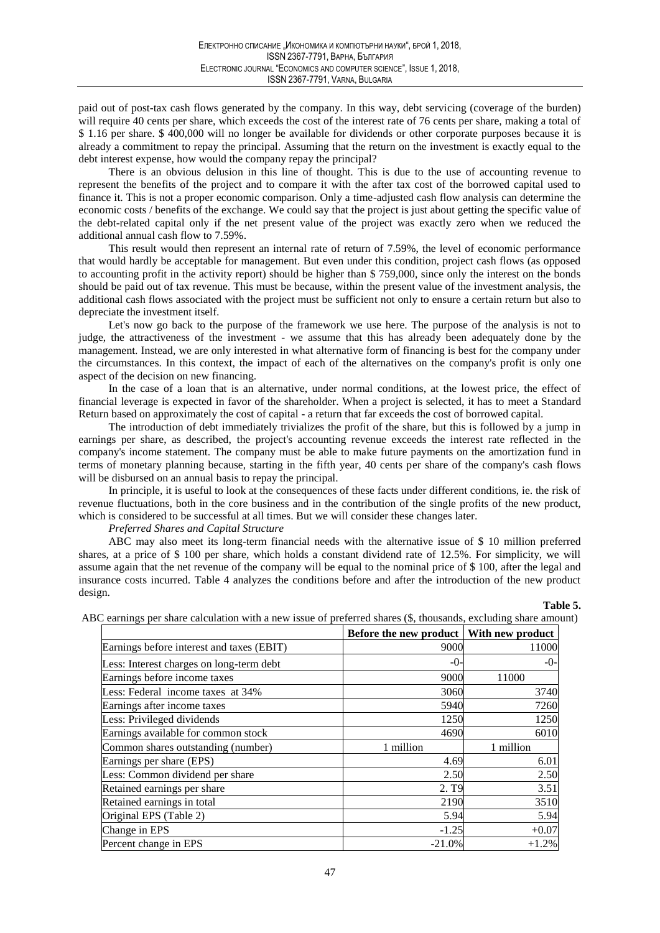paid out of post-tax cash flows generated by the company. In this way, debt servicing (coverage of the burden) will require 40 cents per share, which exceeds the cost of the interest rate of 76 cents per share, making a total of \$1.16 per share, \$400,000 will no longer be available for dividends or other corporate purposes because it is already a commitment to repay the principal. Assuming that the return on the investment is exactly equal to the debt interest expense, how would the company repay the principal?

There is an obvious delusion in this line of thought. This is due to the use of accounting revenue to represent the benefits of the project and to compare it with the after tax cost of the borrowed capital used to finance it. This is not a proper economic comparison. Only a time-adjusted cash flow analysis can determine the economic costs / benefits of the exchange. We could say that the project is just about getting the specific value of the debt-related capital only if the net present value of the project was exactly zero when we reduced the additional annual cash flow to 7.59%.

This result would then represent an internal rate of return of 7.59%, the level of economic performance that would hardly be acceptable for management. But even under this condition, project cash flows (as opposed to accounting profit in the activity report) should be higher than \$759,000, since only the interest on the bonds should be paid out of tax revenue. This must be because, within the present value of the investment analysis, the additional cash flows associated with the project must be sufficient not only to ensure a certain return but also to depreciate the investment itself.

Let's now go back to the purpose of the framework we use here. The purpose of the analysis is not to judge, the attractiveness of the investment - we assume that this has already been adequately done by the management. Instead, we are only interested in what alternative form of financing is best for the company under the circumstances. In this context, the impact of each of the alternatives on the company's profit is only one aspect of the decision on new financing.

In the case of a loan that is an alternative, under normal conditions, at the lowest price, the effect of financial leverage is expected in favor of the shareholder. When a project is selected, it has to meet a Standard Return based on approximately the cost of capital - a return that far exceeds the cost of borrowed capital.

The introduction of debt immediately trivializes the profit of the share, but this is followed by a jump in earnings per share, as described, the project's accounting revenue exceeds the interest rate reflected in the company's income statement. The company must be able to make future payments on the amortization fund in terms of monetary planning because, starting in the fifth year, 40 cents per share of the company's cash flows will be disbursed on an annual basis to repay the principal.

In principle, it is useful to look at the consequences of these facts under different conditions, ie. the risk of revenue fluctuations, both in the core business and in the contribution of the single profits of the new product, which is considered to be successful at all times. But we will consider these changes later.

## Preferred Shares and Capital Structure

ABC may also meet its long-term financial needs with the alternative issue of \$10 million preferred shares, at a price of  $$100$  per share, which holds a constant dividend rate of 12.5%. For simplicity, we will assume again that the net revenue of the company will be equal to the nominal price of \$100, after the legal and insurance costs incurred. Table 4 analyzes the conditions before and after the introduction of the new product design.

# Table 5.

|                                           | Before the new product   With new product |           |
|-------------------------------------------|-------------------------------------------|-----------|
| Earnings before interest and taxes (EBIT) | 9000                                      | 11000     |
| Less: Interest charges on long-term debt  | $-0-$                                     | -0-       |
| Earnings before income taxes              | 9000                                      | 11000     |
| Less: Federal income taxes at 34%         | 3060                                      | 3740      |
| Earnings after income taxes               | 5940                                      | 7260      |
| Less: Privileged dividends                | 1250                                      | 1250      |
| Earnings available for common stock       | 4690                                      | 6010      |
| Common shares outstanding (number)        | 1 million                                 | 1 million |
| Earnings per share (EPS)                  | 4.69                                      | 6.01      |
| Less: Common dividend per share           | 2.50                                      | 2.50      |
| Retained earnings per share               | 2. T <sub>9</sub>                         | 3.51      |
| Retained earnings in total                | 2190                                      | 3510      |
| Original EPS (Table 2)                    | 5.94                                      | 5.94      |
| Change in EPS                             | $-1.25$                                   | $+0.07$   |
| Percent change in EPS                     | $-21.0\%$                                 | $+1.2%$   |

 $\overline{A}$  $int)$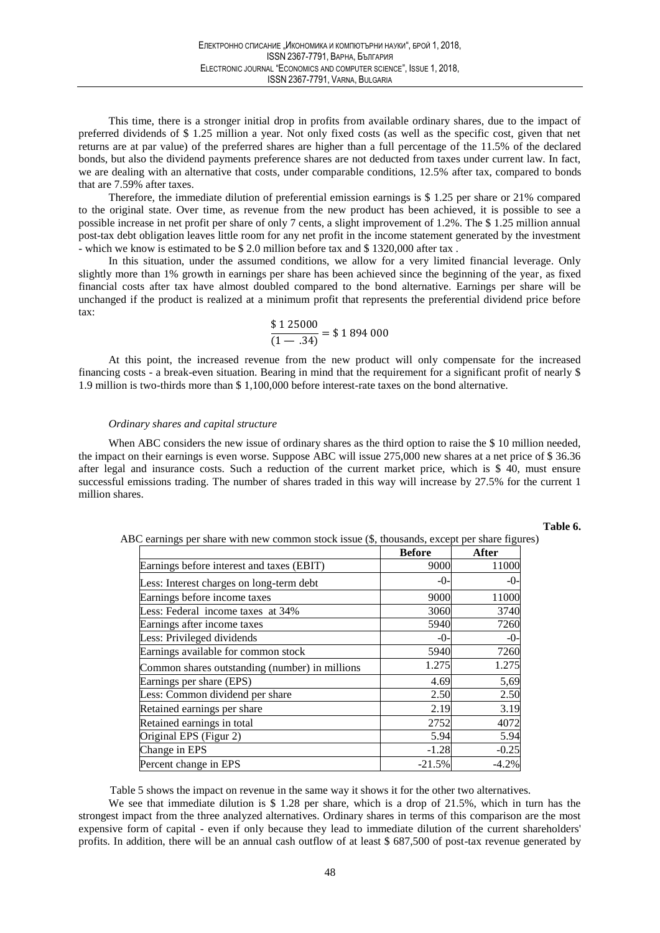This time, there is a stronger initial drop in profits from available ordinary shares, due to the impact of preferred dividends of \$1.25 million a year. Not only fixed costs (as well as the specific cost, given that net returns are at par value) of the preferred shares are higher than a full percentage of the 11.5% of the declared bonds, but also the dividend payments preference shares are not deducted from taxes under current law. In fact, we are dealing with an alternative that costs, under comparable conditions, 12.5% after tax, compared to bonds that are 7.59% after taxes.

Therefore, the immediate dilution of preferential emission earnings is  $$1.25$  per share or 21% compared to the original state. Over time, as revenue from the new product has been achieved, it is possible to see a possible increase in net profit per share of only 7 cents, a slight improvement of 1.2%. The \$1.25 million annual post-tax debt obligation leaves little room for any net profit in the income statement generated by the investment - which we know is estimated to be \$ 2.0 million before tax and \$ 1320,000 after tax.

In this situation, under the assumed conditions, we allow for a very limited financial leverage. Only slightly more than 1% growth in earnings per share has been achieved since the beginning of the year, as fixed financial costs after tax have almost doubled compared to the bond alternative. Earnings per share will be unchanged if the product is realized at a minimum profit that represents the preferential dividend price before  $\mathbf{tax}$ 

$$
\frac{\$ 1\,25000}{(1-.34)} = \$ 1\,894\,000
$$

At this point, the increased revenue from the new product will only compensate for the increased financing costs - a break-even situation. Bearing in mind that the requirement for a significant profit of nearly \$ 1.9 million is two-thirds more than \$1,100,000 before interest-rate taxes on the bond alternative.

### Ordinary shares and capital structure

When ABC considers the new issue of ordinary shares as the third option to raise the \$10 million needed, the impact on their earnings is even worse. Suppose ABC will issue 275,000 new shares at a net price of \$36.36 after legal and insurance costs. Such a reduction of the current market price, which is \$40, must ensure successful emissions trading. The number of shares traded in this way will increase by 27.5% for the current 1 million shares.

### Table 6.

|                                                | <b>Before</b> | <b>After</b> |
|------------------------------------------------|---------------|--------------|
| Earnings before interest and taxes (EBIT)      | 9000          | 11000        |
| Less: Interest charges on long-term debt       | $-0-$         | $-0-$        |
| Earnings before income taxes                   | 9000          | 11000        |
| Less: Federal income taxes at 34%              | 3060          | 3740         |
| Earnings after income taxes                    | 5940          | 7260         |
| Less: Privileged dividends                     | $-0-$         | $-0-$        |
| Earnings available for common stock            | 5940          | 7260         |
| Common shares outstanding (number) in millions | 1.275         | 1.275        |
| Earnings per share (EPS)                       | 4.69          | 5,69         |
| Less: Common dividend per share                | 2.50          | 2.50         |
| Retained earnings per share                    | 2.19          | 3.19         |
| Retained earnings in total                     | 2752          | 4072         |
| Original EPS (Figur 2)                         | 5.94          | 5.94         |
| Change in EPS                                  | $-1.28$       | $-0.25$      |
| Percent change in EPS                          | $-21.5%$      | $-4.2%$      |

ABC earnings per share with new common stock issue (\$, thousands, except per share figures)

Table 5 shows the impact on revenue in the same way it shows it for the other two alternatives.

We see that immediate dilution is  $$1.28$  per share, which is a drop of 21.5%, which in turn has the strongest impact from the three analyzed alternatives. Ordinary shares in terms of this comparison are the most expensive form of capital - even if only because they lead to immediate dilution of the current shareholders' profits. In addition, there will be an annual cash outflow of at least \$ 687,500 of post-tax revenue generated by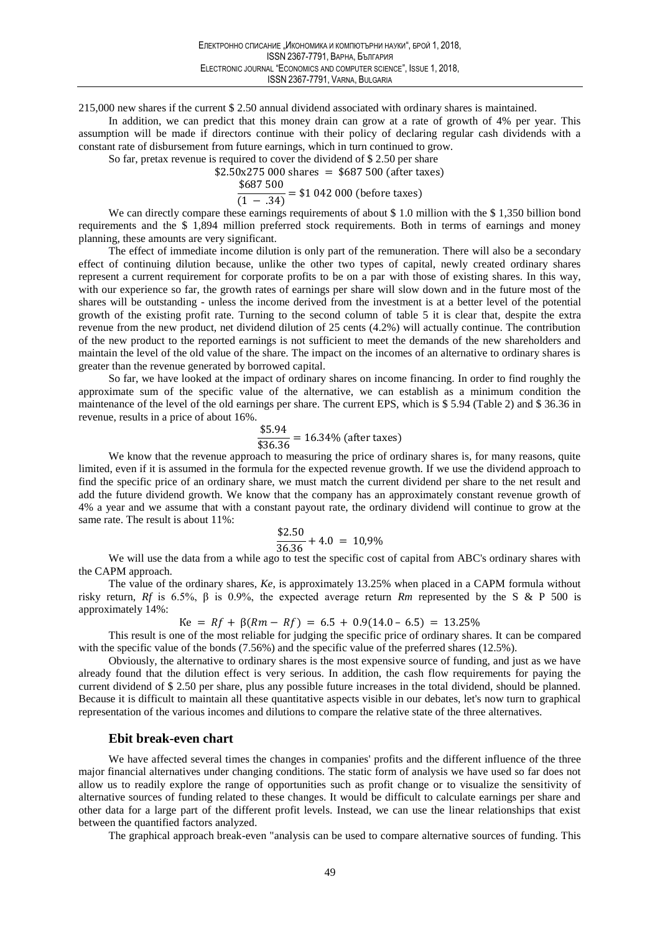215,000 new shares if the current \$2.50 annual dividend associated with ordinary shares is maintained.

In addition, we can predict that this money drain can grow at a rate of growth of 4% per year. This assumption will be made if directors continue with their policy of declaring regular cash dividends with a constant rate of disbursement from future earnings, which in turn continued to grow.

So far, pretax revenue is required to cover the dividend of  $$2.50$  per share

 $$2.50x275000$  shares = \$687 500 (after taxes)

 $\frac{$687500}{$(1-.34)} = $1\ 042\ 000 \text{ (before taxes)}$ 

We can directly compare these earnings requirements of about \$1.0 million with the \$1,350 billion bond requirements and the \$1,894 million preferred stock requirements. Both in terms of earnings and money planning, these amounts are very significant.

The effect of immediate income dilution is only part of the remuneration. There will also be a secondary effect of continuing dilution because, unlike the other two types of capital, newly created ordinary shares represent a current requirement for corporate profits to be on a par with those of existing shares. In this way, with our experience so far, the growth rates of earnings per share will slow down and in the future most of the shares will be outstanding - unless the income derived from the investment is at a better level of the potential growth of the existing profit rate. Turning to the second column of table 5 it is clear that, despite the extra revenue from the new product, net dividend dilution of 25 cents (4.2%) will actually continue. The contribution of the new product to the reported earnings is not sufficient to meet the demands of the new shareholders and maintain the level of the old value of the share. The impact on the incomes of an alternative to ordinary shares is greater than the revenue generated by borrowed capital.

So far, we have looked at the impact of ordinary shares on income financing. In order to find roughly the approximate sum of the specific value of the alternative, we can establish as a minimum condition the maintenance of the level of the old earnings per share. The current EPS, which is \$5.94 (Table 2) and \$36.36 in revenue, results in a price of about 16%.

 $\frac{$5.94}{$36.36}$  = 16.34% (after taxes)

We know that the revenue approach to measuring the price of ordinary shares is, for many reasons, quite limited, even if it is assumed in the formula for the expected revenue growth. If we use the dividend approach to find the specific price of an ordinary share, we must match the current dividend per share to the net result and add the future dividend growth. We know that the company has an approximately constant revenue growth of 4% a year and we assume that with a constant payout rate, the ordinary dividend will continue to grow at the same rate. The result is about 11%:

$$
\frac{$2.50}{$36.36} + 4.0 = 10,9\%
$$

We will use the data from a while ago to test the specific cost of capital from ABC's ordinary shares with the CAPM approach.

The value of the ordinary shares, Ke, is approximately 13.25% when placed in a CAPM formula without risky return, Rf is 6.5%,  $\beta$  is 0.9%, the expected average return Rm represented by the S & P 500 is approximately 14%:

 $Ke = Rf + \beta(Rm - Rf) = 6.5 + 0.9(14.0 - 6.5) = 13.25\%$ 

This result is one of the most reliable for judging the specific price of ordinary shares. It can be compared with the specific value of the bonds  $(7.56\%)$  and the specific value of the preferred shares  $(12.5\%)$ .

Obviously, the alternative to ordinary shares is the most expensive source of funding, and just as we have already found that the dilution effect is very serious. In addition, the cash flow requirements for paying the current dividend of \$ 2.50 per share, plus any possible future increases in the total dividend, should be planned. Because it is difficult to maintain all these quantitative aspects visible in our debates, let's now turn to graphical representation of the various incomes and dilutions to compare the relative state of the three alternatives.

## Ebit break-even chart

We have affected several times the changes in companies' profits and the different influence of the three major financial alternatives under changing conditions. The static form of analysis we have used so far does not allow us to readily explore the range of opportunities such as profit change or to visualize the sensitivity of alternative sources of funding related to these changes. It would be difficult to calculate earnings per share and other data for a large part of the different profit levels. Instead, we can use the linear relationships that exist between the quantified factors analyzed.

The graphical approach break-even "analysis can be used to compare alternative sources of funding. This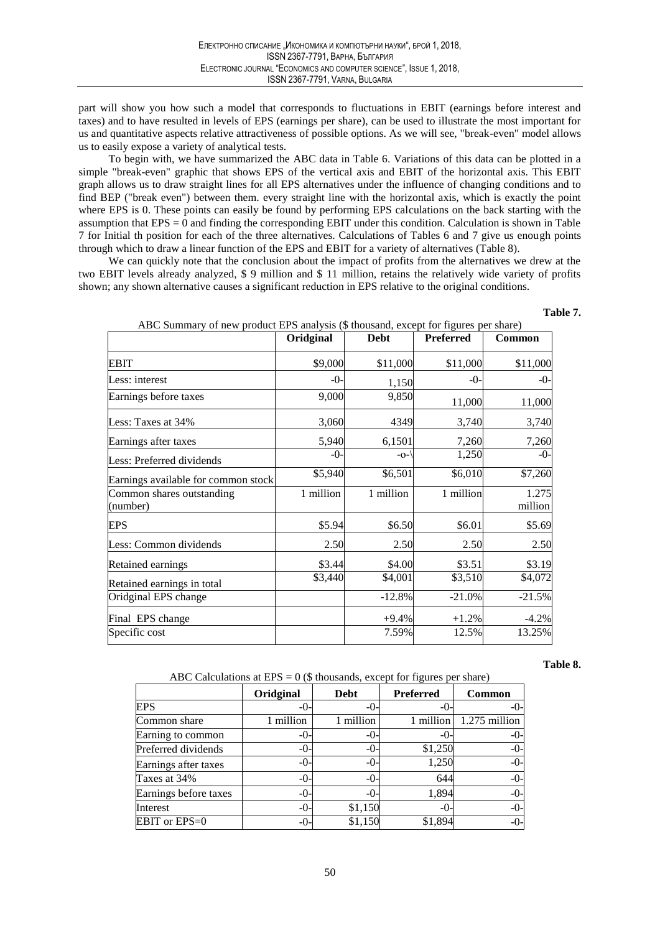part will show you how such a model that corresponds to fluctuations in EBIT (earnings before interest and taxes) and to have resulted in levels of EPS (earnings per share), can be used to illustrate the most important for us and quantitative aspects relative attractiveness of possible options. As we will see, "break-even" model allows us to easily expose a variety of analytical tests.

To begin with, we have summarized the ABC data in Table 6. Variations of this data can be plotted in a simple "break-even" graphic that shows EPS of the vertical axis and EBIT of the horizontal axis. This EBIT graph allows us to draw straight lines for all EPS alternatives under the influence of changing conditions and to find BEP ("break even") between them. every straight line with the horizontal axis, which is exactly the point where EPS is 0. These points can easily be found by performing EPS calculations on the back starting with the assumption that  $EPS = 0$  and finding the corresponding EBIT under this condition. Calculation is shown in Table 7 for Initial th position for each of the three alternatives. Calculations of Tables 6 and 7 give us enough points through which to draw a linear function of the EPS and EBIT for a variety of alternatives (Table 8).

We can quickly note that the conclusion about the impact of profits from the alternatives we drew at the two EBIT levels already analyzed, \$9 million and \$11 million, retains the relatively wide variety of profits shown; any shown alternative causes a significant reduction in EPS relative to the original conditions.

|                                       | Oridginal | Debt      | <b>Preferred</b> | <b>Common</b>    |
|---------------------------------------|-----------|-----------|------------------|------------------|
| <b>EBIT</b>                           | \$9,000   | \$11,000  | \$11,000         | \$11,000         |
| Less: interest                        | -0-       | 1,150     | -0-              | -0-              |
| Earnings before taxes                 | 9,000     | 9,850     | 11,000           | 11,000           |
| Less: Taxes at 34%                    | 3,060     | 4349      | 3,740            | 3,740            |
| Earnings after taxes                  | 5,940     | 6,1501    | 7,260            | 7,260            |
| Less: Preferred dividends             | -0-       | $-O1$     | 1,250            | -0-              |
| Earnings available for common stock   | \$5,940   | \$6,501   | \$6,010          | \$7,260          |
| Common shares outstanding<br>(number) | 1 million | 1 million | 1 million        | 1.275<br>million |
| <b>EPS</b>                            | \$5.94    | \$6.50    | \$6.01           | \$5.69           |
| Less: Common dividends                | 2.50      | 2.50      | 2.50             | 2.50             |
| Retained earnings                     | \$3.44    | \$4.00    | \$3.51           | \$3.19           |
| Retained earnings in total            | \$3,440   | \$4,001   | \$3,510          | \$4,072          |
| Oridginal EPS change                  |           | $-12.8%$  | $-21.0%$         | $-21.5%$         |
| Final EPS change                      |           | $+9.4%$   | $+1.2%$          | $-4.2%$          |
| Specific cost                         |           | 7.59%     | 12.5%            | 13.25%           |

Table 7

Table 8.

| ABC Calculations at $EPS = 0$ (\$ thousands, except for figures per share) |  |
|----------------------------------------------------------------------------|--|

|                       | Oridginal | <b>Debt</b> | Preferred | Common        |
|-----------------------|-----------|-------------|-----------|---------------|
| <b>EPS</b>            | -0        | -0-         | $-()$     | $-0-$         |
| Common share          | million   | 1 million   | million   | 1.275 million |
| Earning to common     | $-()$     | $-0-$       | $-()$ -   | $-0-$         |
| Preferred dividends   | -0-       | $-0-$       | \$1,250   | $-0-$         |
| Earnings after taxes  | -0-       | $-()$ -     | 1,250     | $-0-$         |
| Taxes at 34%          | -0-       | $-()$ -     | 644       | $-0-$         |
| Earnings before taxes | -0-       | $-()$       | 1,894     | $-0-$         |
| Interest              | -0-       | \$1,150     | $-()$     | $-0-$         |
| EBIT or EPS=0         | -0-       | \$1,150     | \$1,894   | $-0-$         |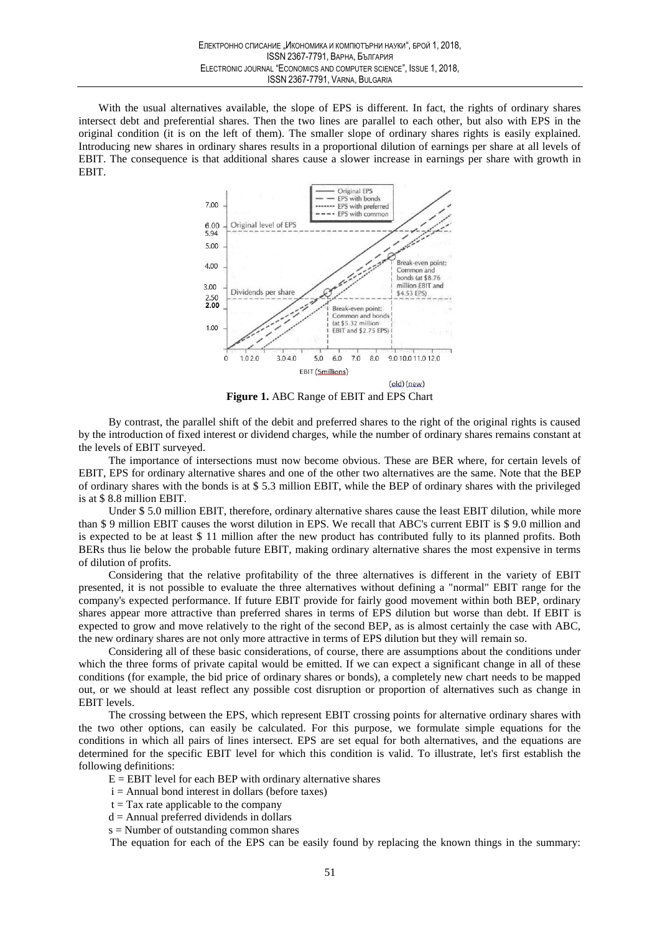With the usual alternatives available, the slope of EPS is different. In fact, the rights of ordinary shares intersect debt and preferential shares. Then the two lines are parallel to each other, but also with EPS in the original condition (it is on the left of them). The smaller slope of ordinary shares rights is easily explained. Introducing new shares in ordinary shares results in a proportional dilution of earnings per share at all levels of EBIT. The consequence is that additional shares cause a slower increase in earnings per share with growth in EBIT.



Figure 1. ABC Range of EBIT and EPS Chart

By contrast, the parallel shift of the debit and preferred shares to the right of the original rights is caused by the introduction of fixed interest or dividend charges, while the number of ordinary shares remains constant at the levels of EBIT surveyed.

The importance of intersections must now become obvious. These are BER where, for certain levels of EBIT, EPS for ordinary alternative shares and one of the other two alternatives are the same. Note that the BEP of ordinary shares with the bonds is at  $$5.3$  million EBIT, while the BEP of ordinary shares with the privileged is at \$8.8 million EBIT.

Under \$5.0 million EBIT, therefore, ordinary alternative shares cause the least EBIT dilution, while more than \$9 million EBIT causes the worst dilution in EPS. We recall that ABC's current EBIT is \$9.0 million and is expected to be at least \$ 11 million after the new product has contributed fully to its planned profits. Both BERs thus lie below the probable future EBIT, making ordinary alternative shares the most expensive in terms of dilution of profits.

Considering that the relative profitability of the three alternatives is different in the variety of EBIT presented, it is not possible to evaluate the three alternatives without defining a "normal" EBIT range for the company's expected performance. If future EBIT provide for fairly good movement within both BEP, ordinary shares appear more attractive than preferred shares in terms of EPS dilution but worse than debt. If EBIT is expected to grow and move relatively to the right of the second BEP, as is almost certainly the case with ABC, the new ordinary shares are not only more attractive in terms of EPS dilution but they will remain so.

Considering all of these basic considerations, of course, there are assumptions about the conditions under which the three forms of private capital would be emitted. If we can expect a significant change in all of these conditions (for example, the bid price of ordinary shares or bonds), a completely new chart needs to be mapped out, or we should at least reflect any possible cost disruption or proportion of alternatives such as change in EBIT levels.

The crossing between the EPS, which represent EBIT crossing points for alternative ordinary shares with the two other options, can easily be calculated. For this purpose, we formulate simple equations for the conditions in which all pairs of lines intersect. EPS are set equal for both alternatives, and the equations are determined for the specific EBIT level for which this condition is valid. To illustrate, let's first establish the following definitions:

 $E = EBIT$  level for each BEP with ordinary alternative shares

- $i =$  Annual bond interest in dollars (before taxes)
- $t = Tax$  rate applicable to the company
- $d =$  Annual preferred dividends in dollars
- $s =$  Number of outstanding common shares

The equation for each of the EPS can be easily found by replacing the known things in the summary: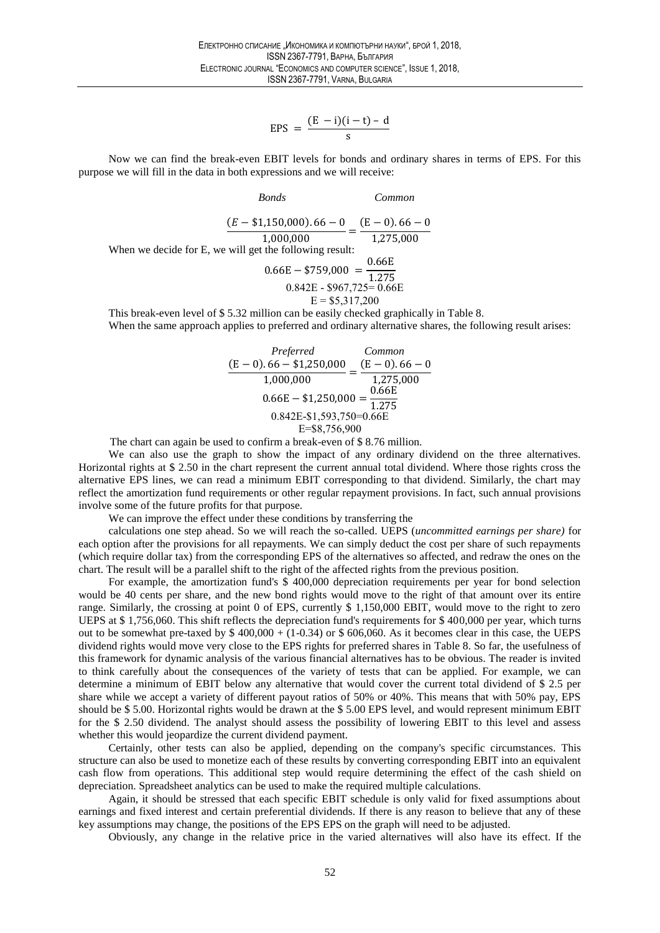$$
EPS = \frac{(E - i)(i - t) - d}{s}
$$

Now we can find the break-even EBIT levels for bonds and ordinary shares in terms of EPS. For this purpose we will fill in the data in both expressions and we will receive:

 $Common$ 

This break-even level of \$5.32 million can be easily checked graphically in Table 8. When the same approach applies to preferred and ordinary alternative shares, the following result arises:

$$
\frac{Perfect}{(E-0).66 - $1,250,000} = \frac{(E-0).66 - 0}{1,275,000}
$$

$$
0.66E - $1,250,000 = \frac{0.66E}{1,275}
$$

$$
0.842E - $1,593,750 = 0.66E
$$

$$
E = $8,756,900
$$

The chart can again be used to confirm a break-even of \$8.76 million.

We can also use the graph to show the impact of any ordinary dividend on the three alternatives. Horizontal rights at \$ 2.50 in the chart represent the current annual total dividend. Where those rights cross the alternative EPS lines, we can read a minimum EBIT corresponding to that dividend. Similarly, the chart may reflect the amortization fund requirements or other regular repayment provisions. In fact, such annual provisions involve some of the future profits for that purpose.

We can improve the effect under these conditions by transferring the

calculations one step ahead. So we will reach the so-called. UEPS (uncommitted earnings per share) for each option after the provisions for all repayments. We can simply deduct the cost per share of such repayments (which require dollar tax) from the corresponding EPS of the alternatives so affected, and redraw the ones on the chart. The result will be a parallel shift to the right of the affected rights from the previous position.

For example, the amortization fund's \$400,000 depreciation requirements per year for bond selection would be 40 cents per share, and the new bond rights would move to the right of that amount over its entire range. Similarly, the crossing at point 0 of EPS, currently \$ 1,150,000 EBIT, would move to the right to zero UEPS at \$1,756,060. This shift reflects the depreciation fund's requirements for \$400,000 per year, which turns out to be somewhat pre-taxed by  $$400,000 + (1-0.34)$  or  $$606,060$ . As it becomes clear in this case, the UEPS dividend rights would move very close to the EPS rights for preferred shares in Table 8. So far, the usefulness of this framework for dynamic analysis of the various financial alternatives has to be obvious. The reader is invited to think carefully about the consequences of the variety of tests that can be applied. For example, we can determine a minimum of EBIT below any alternative that would cover the current total dividend of \$2.5 per share while we accept a variety of different payout ratios of 50% or 40%. This means that with 50% pay, EPS should be \$5.00. Horizontal rights would be drawn at the \$5.00 EPS level, and would represent minimum EBIT for the \$ 2.50 dividend. The analyst should assess the possibility of lowering EBIT to this level and assess whether this would jeopardize the current dividend payment.

Certainly, other tests can also be applied, depending on the company's specific circumstances. This structure can also be used to monetize each of these results by converting corresponding EBIT into an equivalent cash flow from operations. This additional step would require determining the effect of the cash shield on depreciation. Spreadsheet analytics can be used to make the required multiple calculations.

Again, it should be stressed that each specific EBIT schedule is only valid for fixed assumptions about earnings and fixed interest and certain preferential dividends. If there is any reason to believe that any of these key assumptions may change, the positions of the EPS EPS on the graph will need to be adjusted.

Obviously, any change in the relative price in the varied alternatives will also have its effect. If the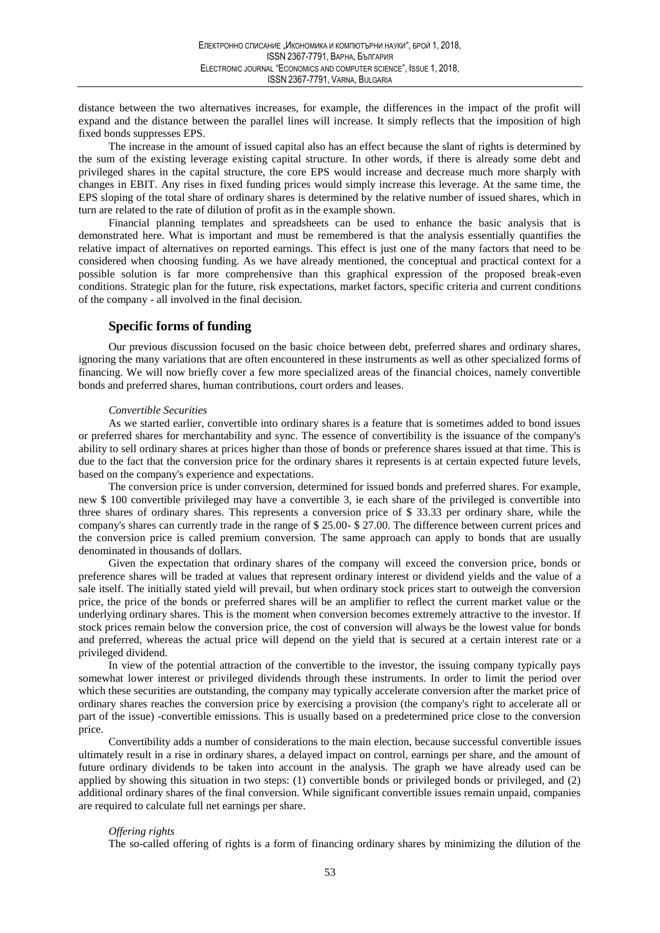distance between the two alternatives increases, for example, the differences in the impact of the profit will expand and the distance between the parallel lines will increase. It simply reflects that the imposition of high fixed bonds suppresses EPS.

The increase in the amount of issued capital also has an effect because the slant of rights is determined by the sum of the existing leverage existing capital structure. In other words, if there is already some debt and privileged shares in the capital structure, the core EPS would increase and decrease much more sharply with changes in EBIT. Any rises in fixed funding prices would simply increase this leverage. At the same time, the EPS sloping of the total share of ordinary shares is determined by the relative number of issued shares, which in turn are related to the rate of dilution of profit as in the example shown.

Financial planning templates and spreadsheets can be used to enhance the basic analysis that is demonstrated here. What is important and must be remembered is that the analysis essentially quantifies the relative impact of alternatives on reported earnings. This effect is just one of the many factors that need to be considered when choosing funding. As we have already mentioned, the conceptual and practical context for a possible solution is far more comprehensive than this graphical expression of the proposed break-even conditions. Strategic plan for the future, risk expectations, market factors, specific criteria and current conditions of the company - all involved in the final decision.

# **Specific forms of funding**

Our previous discussion focused on the basic choice between debt, preferred shares and ordinary shares, ignoring the many variations that are often encountered in these instruments as well as other specialized forms of financing. We will now briefly cover a few more specialized areas of the financial choices, namely convertible bonds and preferred shares, human contributions, court orders and leases.

### **Convertible Securities**

As we started earlier, convertible into ordinary shares is a feature that is sometimes added to bond issues or preferred shares for merchantability and sync. The essence of convertibility is the issuance of the company's ability to sell ordinary shares at prices higher than those of bonds or preference shares issued at that time. This is due to the fact that the conversion price for the ordinary shares it represents is at certain expected future levels, based on the company's experience and expectations.

The conversion price is under conversion, determined for issued bonds and preferred shares. For example, new \$100 convertible privileged may have a convertible 3, ie each share of the privileged is convertible into three shares of ordinary shares. This represents a conversion price of \$33.33 per ordinary share, while the company's shares can currently trade in the range of \$25.00-\$27.00. The difference between current prices and the conversion price is called premium conversion. The same approach can apply to bonds that are usually denominated in thousands of dollars.

Given the expectation that ordinary shares of the company will exceed the conversion price, bonds or preference shares will be traded at values that represent ordinary interest or dividend yields and the value of a sale itself. The initially stated yield will prevail, but when ordinary stock prices start to outweigh the conversion price, the price of the bonds or preferred shares will be an amplifier to reflect the current market value or the underlying ordinary shares. This is the moment when conversion becomes extremely attractive to the investor. If stock prices remain below the conversion price, the cost of conversion will always be the lowest value for bonds and preferred, whereas the actual price will depend on the yield that is secured at a certain interest rate or a privileged dividend.

In view of the potential attraction of the convertible to the investor, the issuing company typically pays somewhat lower interest or privileged dividends through these instruments. In order to limit the period over which these securities are outstanding, the company may typically accelerate conversion after the market price of ordinary shares reaches the conversion price by exercising a provision (the company's right to accelerate all or part of the issue) -convertible emissions. This is usually based on a predetermined price close to the conversion price.

Convertibility adds a number of considerations to the main election, because successful convertible issues ultimately result in a rise in ordinary shares, a delayed impact on control, earnings per share, and the amount of future ordinary dividends to be taken into account in the analysis. The graph we have already used can be applied by showing this situation in two steps:  $(1)$  convertible bonds or privileged bonds or privileged, and  $(2)$ additional ordinary shares of the final conversion. While significant convertible issues remain unpaid, companies are required to calculate full net earnings per share.

## Offering rights

The so-called offering of rights is a form of financing ordinary shares by minimizing the dilution of the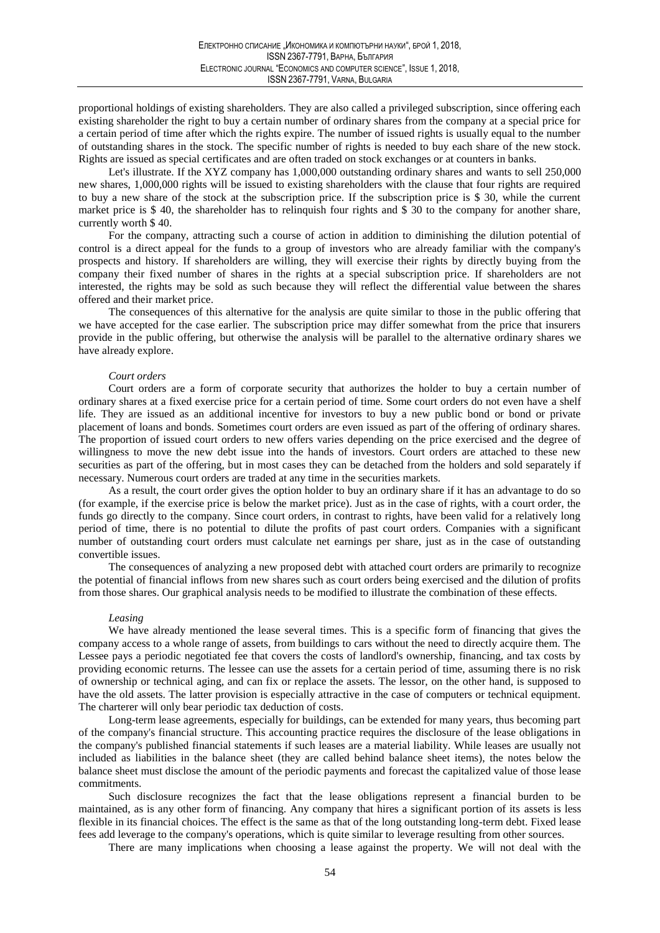proportional holdings of existing shareholders. They are also called a privileged subscription, since offering each existing shareholder the right to buy a certain number of ordinary shares from the company at a special price for a certain period of time after which the rights expire. The number of issued rights is usually equal to the number of outstanding shares in the stock. The specific number of rights is needed to buy each share of the new stock. Rights are issued as special certificates and are often traded on stock exchanges or at counters in banks.

Let's illustrate. If the XYZ company has 1,000,000 outstanding ordinary shares and wants to sell 250,000 new shares, 1,000,000 rights will be issued to existing shareholders with the clause that four rights are required to buy a new share of the stock at the subscription price. If the subscription price is \$ 30, while the current market price is \$40, the shareholder has to relinquish four rights and \$30 to the company for another share, currently worth \$40.

For the company, attracting such a course of action in addition to diminishing the dilution potential of control is a direct appeal for the funds to a group of investors who are already familiar with the company's prospects and history. If shareholders are willing, they will exercise their rights by directly buying from the company their fixed number of shares in the rights at a special subscription price. If shareholders are not interested, the rights may be sold as such because they will reflect the differential value between the shares offered and their market price.

The consequences of this alternative for the analysis are quite similar to those in the public offering that we have accepted for the case earlier. The subscription price may differ somewhat from the price that insurers provide in the public offering, but otherwise the analysis will be parallel to the alternative ordinary shares we have already explore.

### Court orders

Court orders are a form of corporate security that authorizes the holder to buy a certain number of ordinary shares at a fixed exercise price for a certain period of time. Some court orders do not even have a shelf life. They are issued as an additional incentive for investors to buy a new public bond or bond or private placement of loans and bonds. Sometimes court orders are even issued as part of the offering of ordinary shares. The proportion of issued court orders to new offers varies depending on the price exercised and the degree of willingness to move the new debt issue into the hands of investors. Court orders are attached to these new securities as part of the offering, but in most cases they can be detached from the holders and sold separately if necessary. Numerous court orders are traded at any time in the securities markets.

As a result, the court order gives the option holder to buy an ordinary share if it has an advantage to do so (for example, if the exercise price is below the market price). Just as in the case of rights, with a court order, the funds go directly to the company. Since court orders, in contrast to rights, have been valid for a relatively long period of time, there is no potential to dilute the profits of past court orders. Companies with a significant number of outstanding court orders must calculate net earnings per share, just as in the case of outstanding convertible issues.

The consequences of analyzing a new proposed debt with attached court orders are primarily to recognize the potential of financial inflows from new shares such as court orders being exercised and the dilution of profits from those shares. Our graphical analysis needs to be modified to illustrate the combination of these effects.

#### Leasing

We have already mentioned the lease several times. This is a specific form of financing that gives the company access to a whole range of assets, from buildings to cars without the need to directly acquire them. The Lessee pays a periodic negotiated fee that covers the costs of landlord's ownership, financing, and tax costs by providing economic returns. The lessee can use the assets for a certain period of time, assuming there is no risk of ownership or technical aging, and can fix or replace the assets. The lessor, on the other hand, is supposed to have the old assets. The latter provision is especially attractive in the case of computers or technical equipment. The charterer will only bear periodic tax deduction of costs.

Long-term lease agreements, especially for buildings, can be extended for many years, thus becoming part of the company's financial structure. This accounting practice requires the disclosure of the lease obligations in the company's published financial statements if such leases are a material liability. While leases are usually not included as liabilities in the balance sheet (they are called behind balance sheet items), the notes below the balance sheet must disclose the amount of the periodic payments and forecast the capitalized value of those lease commitments.

Such disclosure recognizes the fact that the lease obligations represent a financial burden to be maintained, as is any other form of financing. Any company that hires a significant portion of its assets is less flexible in its financial choices. The effect is the same as that of the long outstanding long-term debt. Fixed lease fees add leverage to the company's operations, which is quite similar to leverage resulting from other sources.

There are many implications when choosing a lease against the property. We will not deal with the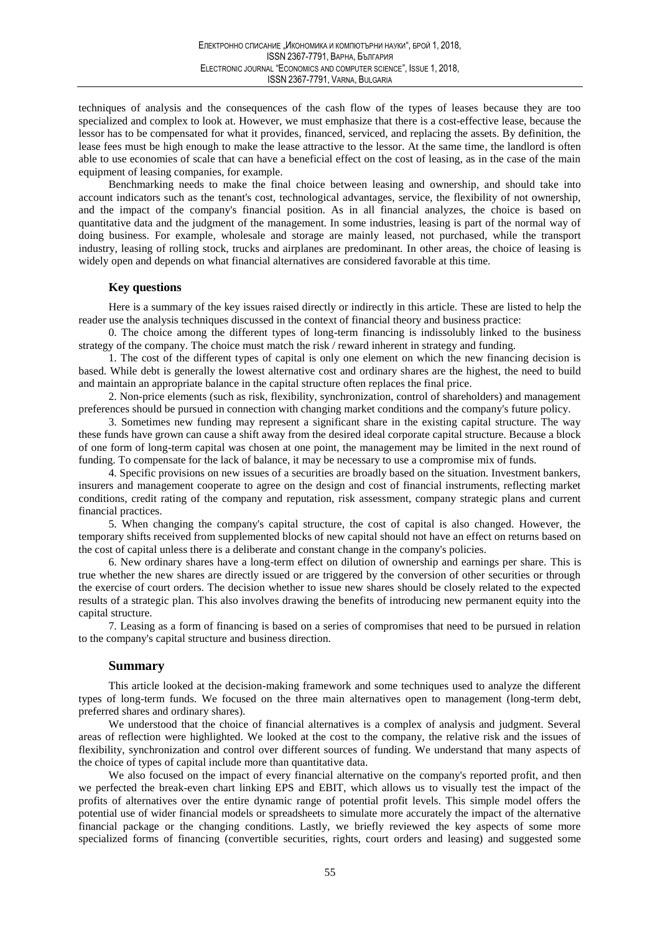techniques of analysis and the consequences of the cash flow of the types of leases because they are too specialized and complex to look at. However, we must emphasize that there is a cost-effective lease, because the lessor has to be compensated for what it provides, financed, serviced, and replacing the assets. By definition, the lease fees must be high enough to make the lease attractive to the lessor. At the same time, the landlord is often able to use economies of scale that can have a beneficial effect on the cost of leasing, as in the case of the main equipment of leasing companies, for example.

Benchmarking needs to make the final choice between leasing and ownership, and should take into account indicators such as the tenant's cost, technological advantages, service, the flexibility of not ownership, and the impact of the company's financial position. As in all financial analyzes, the choice is based on quantitative data and the judgment of the management. In some industries, leasing is part of the normal way of doing business. For example, wholesale and storage are mainly leased, not purchased, while the transport industry, leasing of rolling stock, trucks and airplanes are predominant. In other areas, the choice of leasing is widely open and depends on what financial alternatives are considered favorable at this time.

## **Key questions**

Here is a summary of the key issues raised directly or indirectly in this article. These are listed to help the reader use the analysis techniques discussed in the context of financial theory and business practice:

0. The choice among the different types of long-term financing is indissolubly linked to the business strategy of the company. The choice must match the risk / reward inherent in strategy and funding.

1. The cost of the different types of capital is only one element on which the new financing decision is based. While debt is generally the lowest alternative cost and ordinary shares are the highest, the need to build and maintain an appropriate balance in the capital structure often replaces the final price.

2. Non-price elements (such as risk, flexibility, synchronization, control of shareholders) and management preferences should be pursued in connection with changing market conditions and the company's future policy.

3. Sometimes new funding may represent a significant share in the existing capital structure. The way these funds have grown can cause a shift away from the desired ideal corporate capital structure. Because a block of one form of long-term capital was chosen at one point, the management may be limited in the next round of funding. To compensate for the lack of balance, it may be necessary to use a compromise mix of funds.

4. Specific provisions on new issues of a securities are broadly based on the situation. Investment bankers, insurers and management cooperate to agree on the design and cost of financial instruments, reflecting market conditions, credit rating of the company and reputation, risk assessment, company strategic plans and current financial practices.

5. When changing the company's capital structure, the cost of capital is also changed. However, the temporary shifts received from supplemented blocks of new capital should not have an effect on returns based on the cost of capital unless there is a deliberate and constant change in the company's policies.

6. New ordinary shares have a long-term effect on dilution of ownership and earnings per share. This is true whether the new shares are directly issued or are triggered by the conversion of other securities or through the exercise of court orders. The decision whether to issue new shares should be closely related to the expected results of a strategic plan. This also involves drawing the benefits of introducing new permanent equity into the capital structure.

7. Leasing as a form of financing is based on a series of compromises that need to be pursued in relation to the company's capital structure and business direction.

### **Summary**

This article looked at the decision-making framework and some techniques used to analyze the different types of long-term funds. We focused on the three main alternatives open to management (long-term debt, preferred shares and ordinary shares).

We understood that the choice of financial alternatives is a complex of analysis and judgment. Several areas of reflection were highlighted. We looked at the cost to the company, the relative risk and the issues of flexibility, synchronization and control over different sources of funding. We understand that many aspects of the choice of types of capital include more than quantitative data.

We also focused on the impact of every financial alternative on the company's reported profit, and then we perfected the break-even chart linking EPS and EBIT, which allows us to visually test the impact of the profits of alternatives over the entire dynamic range of potential profit levels. This simple model offers the potential use of wider financial models or spreadsheets to simulate more accurately the impact of the alternative financial package or the changing conditions. Lastly, we briefly reviewed the key aspects of some more specialized forms of financing (convertible securities, rights, court orders and leasing) and suggested some